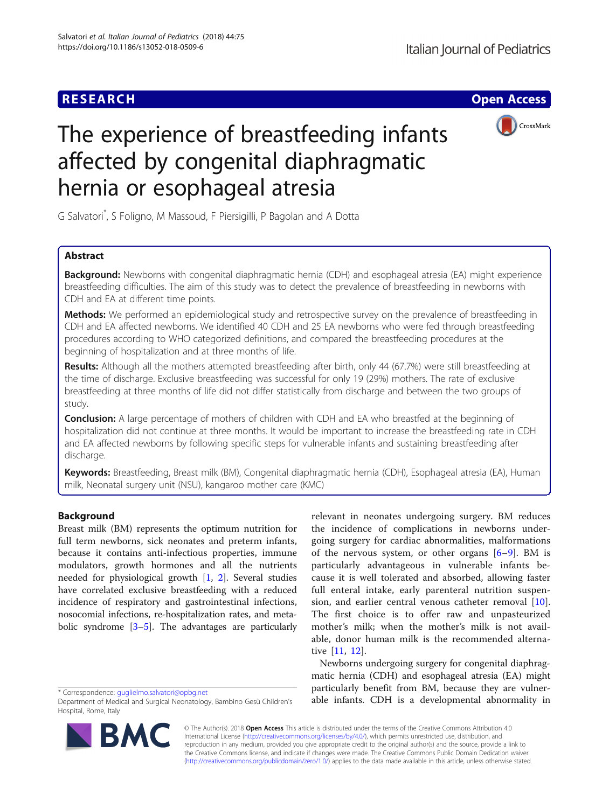## **RESEARCH CHE Open Access**



# The experience of breastfeeding infants affected by congenital diaphragmatic hernia or esophageal atresia

G Salvatori\* , S Foligno, M Massoud, F Piersigilli, P Bagolan and A Dotta

## Abstract

Background: Newborns with congenital diaphragmatic hernia (CDH) and esophageal atresia (EA) might experience breastfeeding difficulties. The aim of this study was to detect the prevalence of breastfeeding in newborns with CDH and EA at different time points.

Methods: We performed an epidemiological study and retrospective survey on the prevalence of breastfeeding in CDH and EA affected newborns. We identified 40 CDH and 25 EA newborns who were fed through breastfeeding procedures according to WHO categorized definitions, and compared the breastfeeding procedures at the beginning of hospitalization and at three months of life.

Results: Although all the mothers attempted breastfeeding after birth, only 44 (67.7%) were still breastfeeding at the time of discharge. Exclusive breastfeeding was successful for only 19 (29%) mothers. The rate of exclusive breastfeeding at three months of life did not differ statistically from discharge and between the two groups of study.

**Conclusion:** A large percentage of mothers of children with CDH and EA who breastfed at the beginning of hospitalization did not continue at three months. It would be important to increase the breastfeeding rate in CDH and EA affected newborns by following specific steps for vulnerable infants and sustaining breastfeeding after discharge.

Keywords: Breastfeeding, Breast milk (BM), Congenital diaphragmatic hernia (CDH), Esophageal atresia (EA), Human milk, Neonatal surgery unit (NSU), kangaroo mother care (KMC)

## Background

Breast milk (BM) represents the optimum nutrition for full term newborns, sick neonates and preterm infants, because it contains anti-infectious properties, immune modulators, growth hormones and all the nutrients needed for physiological growth [\[1](#page-5-0), [2](#page-5-0)]. Several studies have correlated exclusive breastfeeding with a reduced incidence of respiratory and gastrointestinal infections, nosocomial infections, re-hospitalization rates, and metabolic syndrome [\[3](#page-5-0)–[5\]](#page-5-0). The advantages are particularly

**BMC** 



Newborns undergoing surgery for congenital diaphragmatic hernia (CDH) and esophageal atresia (EA) might particularly benefit from BM, because they are vulnerable infants. Correspondence: [guglielmo.salvatori@opbg.net](mailto:guglielmo.salvatori@opbg.net) vanters. Perfectively benefit in the reference incy<br>Department of Medical and Surgical Neonatology, Bambino Gesù Children's able infants. CDH is a developmental ab

> © The Author(s). 2018 Open Access This article is distributed under the terms of the Creative Commons Attribution 4.0 International License [\(http://creativecommons.org/licenses/by/4.0/](http://creativecommons.org/licenses/by/4.0/)), which permits unrestricted use, distribution, and reproduction in any medium, provided you give appropriate credit to the original author(s) and the source, provide a link to the Creative Commons license, and indicate if changes were made. The Creative Commons Public Domain Dedication waiver [\(http://creativecommons.org/publicdomain/zero/1.0/](http://creativecommons.org/publicdomain/zero/1.0/)) applies to the data made available in this article, unless otherwise stated.

Department of Medical and Surgical Neonatology, Bambino Gesù Children's Hospital, Rome, Italy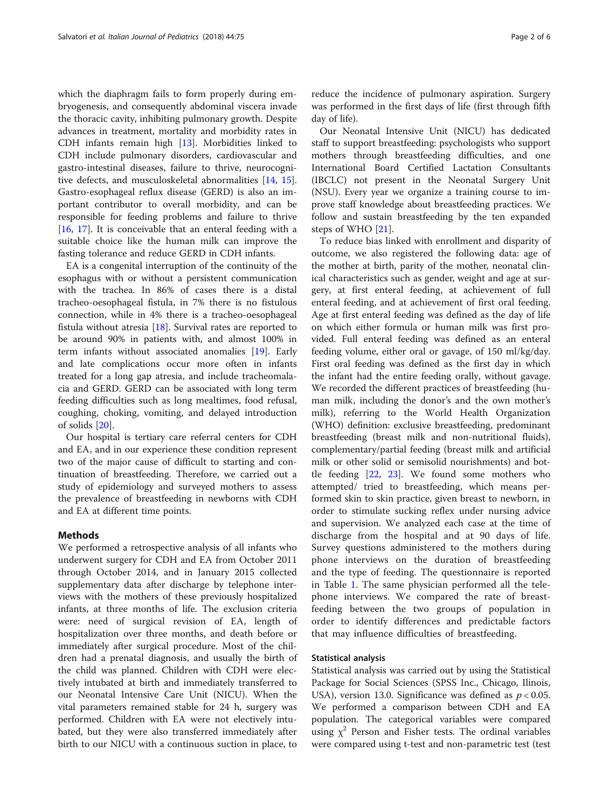which the diaphragm fails to form properly during embryogenesis, and consequently abdominal viscera invade the thoracic cavity, inhibiting pulmonary growth. Despite advances in treatment, mortality and morbidity rates in CDH infants remain high [[13\]](#page-5-0). Morbidities linked to CDH include pulmonary disorders, cardiovascular and gastro-intestinal diseases, failure to thrive, neurocognitive defects, and musculoskeletal abnormalities [[14](#page-5-0), [15](#page-5-0)]. Gastro-esophageal reflux disease (GERD) is also an important contributor to overall morbidity, and can be responsible for feeding problems and failure to thrive [[16,](#page-5-0) [17](#page-5-0)]. It is conceivable that an enteral feeding with a suitable choice like the human milk can improve the fasting tolerance and reduce GERD in CDH infants.

EA is a congenital interruption of the continuity of the esophagus with or without a persistent communication with the trachea. In 86% of cases there is a distal tracheo-oesophageal fistula, in 7% there is no fistulous connection, while in 4% there is a tracheo-oesophageal fistula without atresia  $[18]$  $[18]$ . Survival rates are reported to be around 90% in patients with, and almost 100% in term infants without associated anomalies [\[19\]](#page-5-0). Early and late complications occur more often in infants treated for a long gap atresia, and include tracheomalacia and GERD. GERD can be associated with long term feeding difficulties such as long mealtimes, food refusal, coughing, choking, vomiting, and delayed introduction of solids [[20\]](#page-5-0).

Our hospital is tertiary care referral centers for CDH and EA, and in our experience these condition represent two of the major cause of difficult to starting and continuation of breastfeeding. Therefore, we carried out a study of epidemiology and surveyed mothers to assess the prevalence of breastfeeding in newborns with CDH and EA at different time points.

## Methods

We performed a retrospective analysis of all infants who underwent surgery for CDH and EA from October 2011 through October 2014, and in January 2015 collected supplementary data after discharge by telephone interviews with the mothers of these previously hospitalized infants, at three months of life. The exclusion criteria were: need of surgical revision of EA, length of hospitalization over three months, and death before or immediately after surgical procedure. Most of the children had a prenatal diagnosis, and usually the birth of the child was planned. Children with CDH were electively intubated at birth and immediately transferred to our Neonatal Intensive Care Unit (NICU). When the vital parameters remained stable for 24 h, surgery was performed. Children with EA were not electively intubated, but they were also transferred immediately after birth to our NICU with a continuous suction in place, to

reduce the incidence of pulmonary aspiration. Surgery was performed in the first days of life (first through fifth day of life).

Our Neonatal Intensive Unit (NICU) has dedicated staff to support breastfeeding: psychologists who support mothers through breastfeeding difficulties, and one International Board Certified Lactation Consultants (IBCLC) not present in the Neonatal Surgery Unit (NSU). Every year we organize a training course to improve staff knowledge about breastfeeding practices. We follow and sustain breastfeeding by the ten expanded steps of WHO [\[21](#page-5-0)].

To reduce bias linked with enrollment and disparity of outcome, we also registered the following data: age of the mother at birth, parity of the mother, neonatal clinical characteristics such as gender, weight and age at surgery, at first enteral feeding, at achievement of full enteral feeding, and at achievement of first oral feeding. Age at first enteral feeding was defined as the day of life on which either formula or human milk was first provided. Full enteral feeding was defined as an enteral feeding volume, either oral or gavage, of 150 ml/kg/day. First oral feeding was defined as the first day in which the infant had the entire feeding orally, without gavage. We recorded the different practices of breastfeeding (human milk, including the donor's and the own mother's milk), referring to the World Health Organization (WHO) definition: exclusive breastfeeding, predominant breastfeeding (breast milk and non-nutritional fluids), complementary/partial feeding (breast milk and artificial milk or other solid or semisolid nourishments) and bottle feeding [[22,](#page-5-0) [23](#page-5-0)]. We found some mothers who attempted/ tried to breastfeeding, which means performed skin to skin practice, given breast to newborn, in order to stimulate sucking reflex under nursing advice and supervision. We analyzed each case at the time of discharge from the hospital and at 90 days of life. Survey questions administered to the mothers during phone interviews on the duration of breastfeeding and the type of feeding. The questionnaire is reported in Table [1](#page-2-0). The same physician performed all the telephone interviews. We compared the rate of breastfeeding between the two groups of population in order to identify differences and predictable factors that may influence difficulties of breastfeeding.

### Statistical analysis

Statistical analysis was carried out by using the Statistical Package for Social Sciences (SPSS Inc., Chicago, Ilinois, USA), version 13.0. Significance was defined as  $p < 0.05$ . We performed a comparison between CDH and EA population. The categorical variables were compared using  $\chi^2$  Person and Fisher tests. The ordinal variables were compared using t-test and non-parametric test (test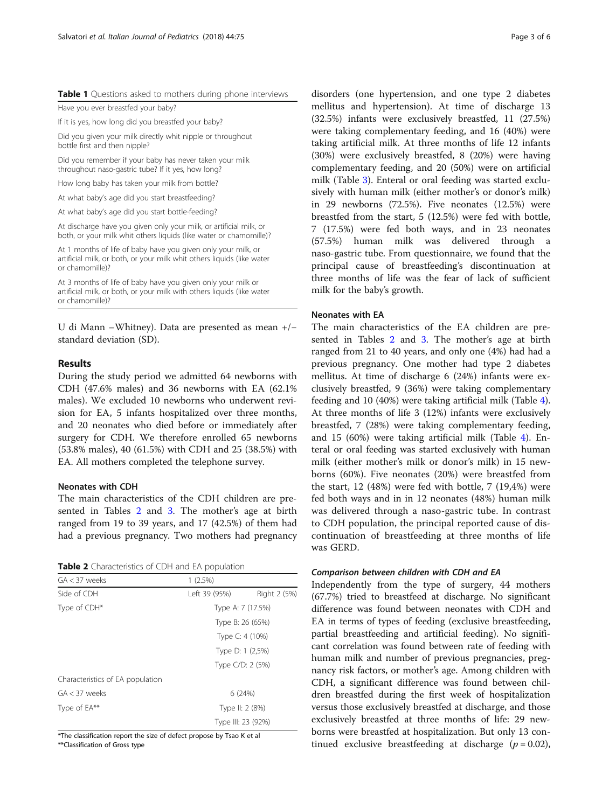<span id="page-2-0"></span>

| Table 1 Questions asked to mothers during phone interviews |  |  |  |  |  |
|------------------------------------------------------------|--|--|--|--|--|
|------------------------------------------------------------|--|--|--|--|--|

Have you ever breastfed your baby?

If it is yes, how long did you breastfed your baby?

Did you given your milk directly whit nipple or throughout bottle first and then nipple?

Did you remember if your baby has never taken your milk throughout naso-gastric tube? If it yes, how long?

How long baby has taken your milk from bottle?

At what baby's age did you start breastfeeding?

At what baby's age did you start bottle-feeding?

At discharge have you given only your milk, or artificial milk, or both, or your milk whit others liquids (like water or chamomille)?

At 1 months of life of baby have you given only your milk, or artificial milk, or both, or your milk whit others liquids (like water or chamomille)?

At 3 months of life of baby have you given only your milk or artificial milk, or both, or your milk with others liquids (like water or chamomille)?

U di Mann –Whitney). Data are presented as mean +/− standard deviation (SD).

## Results

During the study period we admitted 64 newborns with CDH (47.6% males) and 36 newborns with EA (62.1% males). We excluded 10 newborns who underwent revision for EA, 5 infants hospitalized over three months, and 20 neonates who died before or immediately after surgery for CDH. We therefore enrolled 65 newborns (53.8% males), 40 (61.5%) with CDH and 25 (38.5%) with EA. All mothers completed the telephone survey.

## Neonates with CDH

The main characteristics of the CDH children are presented in Tables 2 and [3](#page-3-0). The mother's age at birth ranged from 19 to 39 years, and 17 (42.5%) of them had had a previous pregnancy. Two mothers had pregnancy

Table 2 Characteristics of CDH and EA population

| $GA < 37$ weeks                  | 1(2.5%)            |              |  |  |
|----------------------------------|--------------------|--------------|--|--|
| Side of CDH                      | Left 39 (95%)      | Right 2 (5%) |  |  |
| Type of CDH*                     | Type A: 7 (17.5%)  |              |  |  |
|                                  | Type B: 26 (65%)   |              |  |  |
|                                  | Type C: 4 (10%)    |              |  |  |
|                                  | Type D: 1 (2,5%)   |              |  |  |
|                                  | Type C/D: 2 (5%)   |              |  |  |
| Characteristics of EA population |                    |              |  |  |
| $GA < 37$ weeks                  | 6(24%)             |              |  |  |
| Type of EA**                     | Type II: 2 (8%)    |              |  |  |
|                                  | Type III: 23 (92%) |              |  |  |

\*The classification report the size of defect propose by Tsao K et al

\*\*Classification of Gross type

disorders (one hypertension, and one type 2 diabetes mellitus and hypertension). At time of discharge 13 (32.5%) infants were exclusively breastfed, 11 (27.5%) were taking complementary feeding, and 16 (40%) were taking artificial milk. At three months of life 12 infants (30%) were exclusively breastfed, 8 (20%) were having complementary feeding, and 20 (50%) were on artificial milk (Table [3\)](#page-3-0). Enteral or oral feeding was started exclusively with human milk (either mother's or donor's milk) in 29 newborns (72.5%). Five neonates (12.5%) were breastfed from the start, 5 (12.5%) were fed with bottle, 7 (17.5%) were fed both ways, and in 23 neonates (57.5%) human milk was delivered through a naso-gastric tube. From questionnaire, we found that the principal cause of breastfeeding's discontinuation at three months of life was the fear of lack of sufficient milk for the baby's growth.

## Neonates with EA

The main characteristics of the EA children are presented in Tables 2 and [3](#page-3-0). The mother's age at birth ranged from 21 to 40 years, and only one (4%) had had a previous pregnancy. One mother had type 2 diabetes mellitus. At time of discharge 6 (24%) infants were exclusively breastfed, 9 (36%) were taking complementary feeding and 10 (40%) were taking artificial milk (Table [4](#page-3-0)). At three months of life 3 (12%) infants were exclusively breastfed, 7 (28%) were taking complementary feeding, and 15 (60%) were taking artificial milk (Table [4](#page-3-0)). Enteral or oral feeding was started exclusively with human milk (either mother's milk or donor's milk) in 15 newborns (60%). Five neonates (20%) were breastfed from the start, 12 (48%) were fed with bottle, 7 (19,4%) were fed both ways and in in 12 neonates (48%) human milk was delivered through a naso-gastric tube. In contrast to CDH population, the principal reported cause of discontinuation of breastfeeding at three months of life was GERD.

## Comparison between children with CDH and EA

Independently from the type of surgery, 44 mothers (67.7%) tried to breastfeed at discharge. No significant difference was found between neonates with CDH and EA in terms of types of feeding (exclusive breastfeeding, partial breastfeeding and artificial feeding). No significant correlation was found between rate of feeding with human milk and number of previous pregnancies, pregnancy risk factors, or mother's age. Among children with CDH, a significant difference was found between children breastfed during the first week of hospitalization versus those exclusively breastfed at discharge, and those exclusively breastfed at three months of life: 29 newborns were breastfed at hospitalization. But only 13 continued exclusive breastfeeding at discharge  $(p = 0.02)$ ,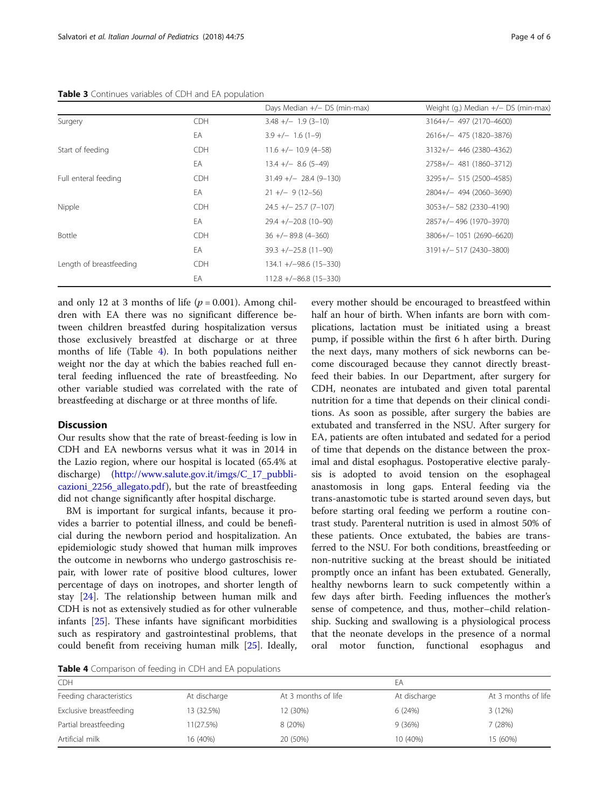Table 3 Continues variables of

<span id="page-3-0"></span>

|                  |            | Days Median +/- DS (min-max) | Weight (g.) Median +/- DS (min-max) |
|------------------|------------|------------------------------|-------------------------------------|
| Surgery          | <b>CDH</b> | $3.48 +/- 1.9(3-10)$         | $3164+/- 497 (2170-4600)$           |
|                  | EA         | $3.9 +/- 1.6(1-9)$           | 2616+/- 475 (1820-3876)             |
| Start of feeding | <b>CDH</b> | $11.6 +/- 10.9(4-58)$        | 3132+/- 446 (2380-4362)             |
|                  | EA         | $13.4 +/-$ 8.6 (5-49)        | 2758+/- 481 (1860-3712)             |

EA 21 +/− 9 (12–56) 2804+/− 494 (2060–3690)

EA 29.4 +/−20.8 (10–90) 2857+/− 496 (1970–3970)

EA 39.3 +/−25.8 (11–90) 3191+/− 517 (2430–3800)

Full enteral feeding CDH 31.49 +/− 28.4 (9–130) 3295+/− 515 (2500–4585)

Nipple CDH 24.5 +/− 25.7 (7–107) 3053+/− 582 (2330–4190)

Bottle CDH 36 +/− 89.8 (4–360) 3806+/− 1051 (2690–6620)

EA 112.8 +/−86.8 (15–330)

| and only 12 at 3 months of life ( $p = 0.001$ ). Among chil- |
|--------------------------------------------------------------|
| dren with EA there was no significant difference be-         |
| tween children breastfed during hospitalization versus       |
| those exclusively breastfed at discharge or at three         |
| months of life (Table 4). In both populations neither        |
| weight nor the day at which the babies reached full en-      |
| teral feeding influenced the rate of breastfeeding. No       |
| other variable studied was correlated with the rate of       |
| breastfeeding at discharge or at three months of life.       |

Length of breastfeeding CDH 134.1 +/−98.6 (15–330)

## **Discussion**

Our results show that the rate of breast-feeding is low in CDH and EA newborns versus what it was in 2014 in the Lazio region, where our hospital is located (65.4% at discharge) [\(http://www.salute.gov.it/imgs/C\\_17\\_pubbli](http://www.salute.gov.it/imgs/C_17_pubblicazioni_2256_allegato.pdf)[cazioni\\_2256\\_allegato.pdf](http://www.salute.gov.it/imgs/C_17_pubblicazioni_2256_allegato.pdf)), but the rate of breastfeeding did not change significantly after hospital discharge.

BM is important for surgical infants, because it provides a barrier to potential illness, and could be beneficial during the newborn period and hospitalization. An epidemiologic study showed that human milk improves the outcome in newborns who undergo gastroschisis repair, with lower rate of positive blood cultures, lower percentage of days on inotropes, and shorter length of stay [\[24](#page-5-0)]. The relationship between human milk and CDH is not as extensively studied as for other vulnerable infants [\[25](#page-5-0)]. These infants have significant morbidities such as respiratory and gastrointestinal problems, that could benefit from receiving human milk [[25\]](#page-5-0). Ideally, every mother should be encouraged to breastfeed within half an hour of birth. When infants are born with complications, lactation must be initiated using a breast pump, if possible within the first 6 h after birth. During the next days, many mothers of sick newborns can become discouraged because they cannot directly breastfeed their babies. In our Department, after surgery for CDH, neonates are intubated and given total parental nutrition for a time that depends on their clinical conditions. As soon as possible, after surgery the babies are extubated and transferred in the NSU. After surgery for EA, patients are often intubated and sedated for a period of time that depends on the distance between the proximal and distal esophagus. Postoperative elective paralysis is adopted to avoid tension on the esophageal anastomosis in long gaps. Enteral feeding via the trans-anastomotic tube is started around seven days, but before starting oral feeding we perform a routine contrast study. Parenteral nutrition is used in almost 50% of these patients. Once extubated, the babies are transferred to the NSU. For both conditions, breastfeeding or non-nutritive sucking at the breast should be initiated promptly once an infant has been extubated. Generally, healthy newborns learn to suck competently within a few days after birth. Feeding influences the mother's sense of competence, and thus, mother–child relationship. Sucking and swallowing is a physiological process that the neonate develops in the presence of a normal oral motor function, functional esophagus and

Table 4 Comparison of feeding in CDH and EA populations

| CDH                     |              | EΑ                  |              |                     |
|-------------------------|--------------|---------------------|--------------|---------------------|
| Feeding characteristics | At discharge | At 3 months of life | At discharge | At 3 months of life |
| Exclusive breastfeeding | 13 (32.5%)   | 12 (30%)            | 6(24%)       | 3(12%)              |
| Partial breastfeeding   | 11(27.5%)    | 8 (20%)             | 9(36%)       | 7(28%)              |
| Artificial milk         | 16 (40%)     | 20 (50%)            | 10 (40%)     | 15 (60%)            |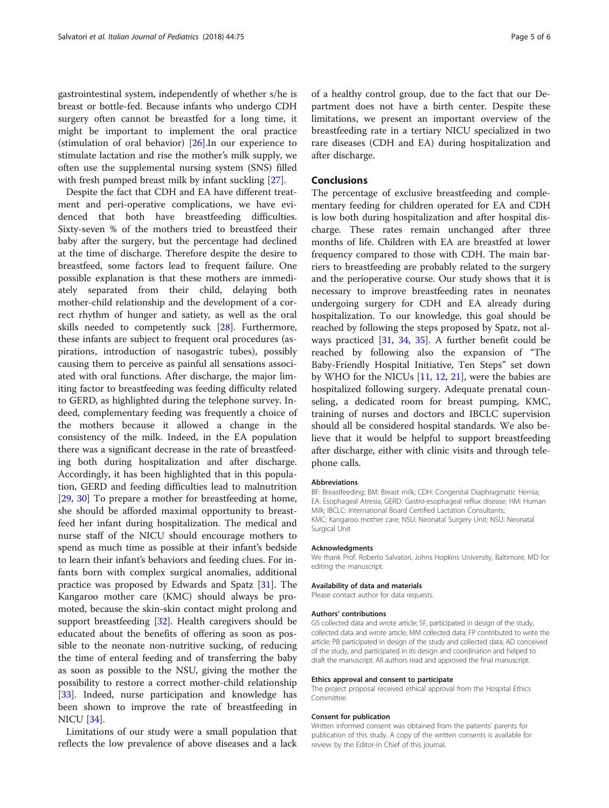gastrointestinal system, independently of whether s/he is breast or bottle-fed. Because infants who undergo CDH surgery often cannot be breastfed for a long time, it might be important to implement the oral practice (stimulation of oral behavior) [[26\]](#page-5-0).In our experience to stimulate lactation and rise the mother's milk supply, we often use the supplemental nursing system (SNS) filled with fresh pumped breast milk by infant suckling [[27\]](#page-5-0).

Despite the fact that CDH and EA have different treatment and peri-operative complications, we have evidenced that both have breastfeeding difficulties. Sixty-seven % of the mothers tried to breastfeed their baby after the surgery, but the percentage had declined at the time of discharge. Therefore despite the desire to breastfeed, some factors lead to frequent failure. One possible explanation is that these mothers are immediately separated from their child, delaying both mother-child relationship and the development of a correct rhythm of hunger and satiety, as well as the oral skills needed to competently suck [\[28](#page-5-0)]. Furthermore, these infants are subject to frequent oral procedures (aspirations, introduction of nasogastric tubes), possibly causing them to perceive as painful all sensations associated with oral functions. After discharge, the major limiting factor to breastfeeding was feeding difficulty related to GERD, as highlighted during the telephone survey. Indeed, complementary feeding was frequently a choice of the mothers because it allowed a change in the consistency of the milk. Indeed, in the EA population there was a significant decrease in the rate of breastfeeding both during hospitalization and after discharge. Accordingly, it has been highlighted that in this population, GERD and feeding difficulties lead to malnutrition [[29,](#page-5-0) [30\]](#page-5-0) To prepare a mother for breastfeeding at home, she should be afforded maximal opportunity to breastfeed her infant during hospitalization. The medical and nurse staff of the NICU should encourage mothers to spend as much time as possible at their infant's bedside to learn their infant's behaviors and feeding clues. For infants born with complex surgical anomalies, additional practice was proposed by Edwards and Spatz [\[31\]](#page-5-0). The Kangaroo mother care (KMC) should always be promoted, because the skin-skin contact might prolong and support breastfeeding [[32\]](#page-5-0). Health caregivers should be educated about the benefits of offering as soon as possible to the neonate non-nutritive sucking, of reducing the time of enteral feeding and of transferring the baby as soon as possible to the NSU, giving the mother the possibility to restore a correct mother-child relationship [[33\]](#page-5-0). Indeed, nurse participation and knowledge has been shown to improve the rate of breastfeeding in NICU [[34](#page-5-0)].

Limitations of our study were a small population that reflects the low prevalence of above diseases and a lack

of a healthy control group, due to the fact that our Department does not have a birth center. Despite these limitations, we present an important overview of the breastfeeding rate in a tertiary NICU specialized in two rare diseases (CDH and EA) during hospitalization and after discharge.

## Conclusions

The percentage of exclusive breastfeeding and complementary feeding for children operated for EA and CDH is low both during hospitalization and after hospital discharge. These rates remain unchanged after three months of life. Children with EA are breastfed at lower frequency compared to those with CDH. The main barriers to breastfeeding are probably related to the surgery and the perioperative course. Our study shows that it is necessary to improve breastfeeding rates in neonates undergoing surgery for CDH and EA already during hospitalization. To our knowledge, this goal should be reached by following the steps proposed by Spatz, not always practiced [\[31](#page-5-0), [34,](#page-5-0) [35\]](#page-5-0). A further benefit could be reached by following also the expansion of "The Baby-Friendly Hospital Initiative, Ten Steps" set down by WHO for the NICUs [[11,](#page-5-0) [12,](#page-5-0) [21\]](#page-5-0), were the babies are hospitalized following surgery. Adequate prenatal counseling, a dedicated room for breast pumping, KMC, training of nurses and doctors and IBCLC supervision should all be considered hospital standards. We also believe that it would be helpful to support breastfeeding after discharge, either with clinic visits and through telephone calls.

#### Abbreviations

BF: Breastfeeding; BM: Breast milk; CDH: Congenital Diaphragmatic Hernia; EA: Esophageal Atresia; GERD: Gastro-esophageal reflux disease; HM: Human Milk; IBCLC: International Board Certified Lactation Consultants; KMC: Kangaroo mother care; NSU: Neonatal Surgery Unit; NSU: Neonatal Surgical Unit

#### Acknowledgments

We thank Prof. Roberto Salvatori, Johns Hopkins University, Baltimore, MD for editing the manuscript.

#### Availability of data and materials

Please contact author for data requests.

#### Authors' contributions

GS collected data and wrote article; SF, participated in design of the study, collected data and wrote article; MM collected data; FP contributed to write the article; PB participated in design of the study and collected data; AD conceived of the study, and participated in its design and coordination and helped to draft the manuscript. All authors read and approved the final manuscript.

#### Ethics approval and consent to participate

The project proposal received ethical approval from the Hospital Ethics Committee.

#### Consent for publication

Written informed consent was obtained from the patients' parents for publication of this study. A copy of the written consents is available for review by the Editor-in Chief of this journal.